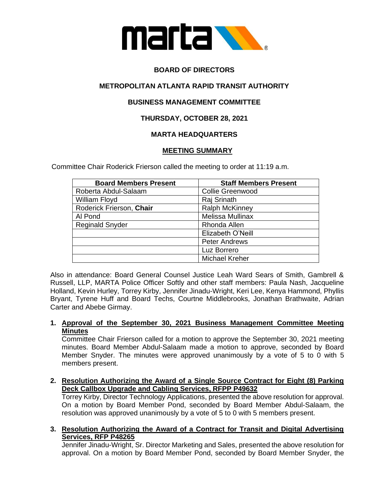

# **BOARD OF DIRECTORS**

## **METROPOLITAN ATLANTA RAPID TRANSIT AUTHORITY**

## **BUSINESS MANAGEMENT COMMITTEE**

## **THURSDAY, OCTOBER 28, 2021**

## **MARTA HEADQUARTERS**

#### **MEETING SUMMARY**

Committee Chair Roderick Frierson called the meeting to order at 11:19 a.m.

| <b>Board Members Present</b> | <b>Staff Members Present</b> |
|------------------------------|------------------------------|
| Roberta Abdul-Salaam         | <b>Collie Greenwood</b>      |
| William Floyd                | Raj Srinath                  |
| Roderick Frierson, Chair     | <b>Ralph McKinney</b>        |
| Al Pond                      | Melissa Mullinax             |
| <b>Reginald Snyder</b>       | Rhonda Allen                 |
|                              | Elizabeth O'Neill            |
|                              | <b>Peter Andrews</b>         |
|                              | Luz Borrero                  |
|                              | <b>Michael Kreher</b>        |

Also in attendance: Board General Counsel Justice Leah Ward Sears of Smith, Gambrell & Russell, LLP, MARTA Police Officer Softly and other staff members: Paula Nash, Jacqueline Holland, Kevin Hurley, Torrey Kirby, Jennifer Jinadu-Wright, Keri Lee, Kenya Hammond, Phyllis Bryant, Tyrene Huff and Board Techs, Courtne Middlebrooks, Jonathan Brathwaite, Adrian Carter and Abebe Girmay.

#### **1. Approval of the September 30, 2021 Business Management Committee Meeting Minutes**

Committee Chair Frierson called for a motion to approve the September 30, 2021 meeting minutes. Board Member Abdul-Salaam made a motion to approve, seconded by Board Member Snyder. The minutes were approved unanimously by a vote of 5 to 0 with 5 members present.

**2. Resolution Authorizing the Award of a Single Source Contract for Eight (8) Parking Deck Callbox Upgrade and Cabling Services, RFPP P49632** 

Torrey Kirby, Director Technology Applications, presented the above resolution for approval. On a motion by Board Member Pond, seconded by Board Member Abdul-Salaam, the resolution was approved unanimously by a vote of 5 to 0 with 5 members present.

**3. Resolution Authorizing the Award of a Contract for Transit and Digital Advertising Services, RFP P48265** 

Jennifer Jinadu-Wright, Sr. Director Marketing and Sales, presented the above resolution for approval. On a motion by Board Member Pond, seconded by Board Member Snyder, the